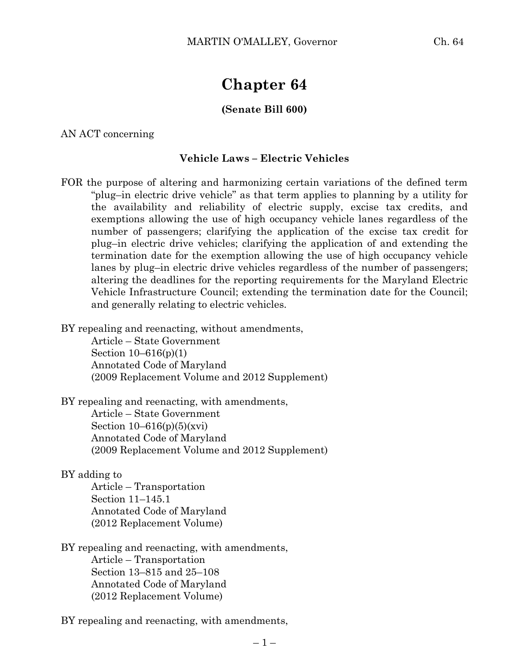# **Chapter 64**

### **(Senate Bill 600)**

AN ACT concerning

### **Vehicle Laws – Electric Vehicles**

FOR the purpose of altering and harmonizing certain variations of the defined term "plug–in electric drive vehicle" as that term applies to planning by a utility for the availability and reliability of electric supply, excise tax credits, and exemptions allowing the use of high occupancy vehicle lanes regardless of the number of passengers; clarifying the application of the excise tax credit for plug–in electric drive vehicles; clarifying the application of and extending the termination date for the exemption allowing the use of high occupancy vehicle lanes by plug–in electric drive vehicles regardless of the number of passengers; altering the deadlines for the reporting requirements for the Maryland Electric Vehicle Infrastructure Council; extending the termination date for the Council; and generally relating to electric vehicles.

BY repealing and reenacting, without amendments,

Article – State Government Section 10–616(p)(1) Annotated Code of Maryland (2009 Replacement Volume and 2012 Supplement)

BY repealing and reenacting, with amendments, Article – State Government Section  $10-616(p)(5)(xvi)$ Annotated Code of Maryland (2009 Replacement Volume and 2012 Supplement)

### BY adding to

Article – Transportation Section 11–145.1 Annotated Code of Maryland (2012 Replacement Volume)

BY repealing and reenacting, with amendments, Article – Transportation Section 13–815 and 25–108 Annotated Code of Maryland (2012 Replacement Volume)

BY repealing and reenacting, with amendments,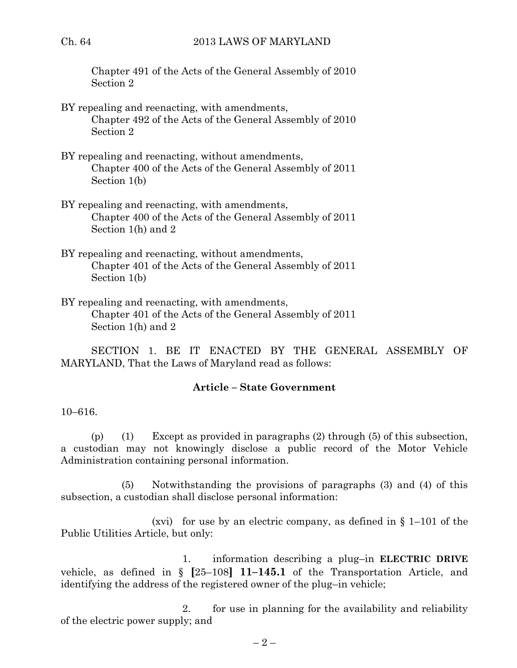Chapter 491 of the Acts of the General Assembly of 2010 Section 2

- BY repealing and reenacting, with amendments, Chapter 492 of the Acts of the General Assembly of 2010 Section 2
- BY repealing and reenacting, without amendments, Chapter 400 of the Acts of the General Assembly of 2011 Section 1(b)
- BY repealing and reenacting, with amendments, Chapter 400 of the Acts of the General Assembly of 2011 Section 1(h) and 2
- BY repealing and reenacting, without amendments, Chapter 401 of the Acts of the General Assembly of 2011 Section 1(b)
- BY repealing and reenacting, with amendments, Chapter 401 of the Acts of the General Assembly of 2011 Section 1(h) and 2

SECTION 1. BE IT ENACTED BY THE GENERAL ASSEMBLY OF MARYLAND, That the Laws of Maryland read as follows:

# **Article – State Government**

### 10–616.

(p) (1) Except as provided in paragraphs (2) through (5) of this subsection, a custodian may not knowingly disclose a public record of the Motor Vehicle Administration containing personal information.

(5) Notwithstanding the provisions of paragraphs (3) and (4) of this subsection, a custodian shall disclose personal information:

(xvi) for use by an electric company, as defined in  $\S$  1–101 of the Public Utilities Article, but only:

1. information describing a plug–in **ELECTRIC DRIVE** vehicle, as defined in § **[**25–108**] 11–145.1** of the Transportation Article, and identifying the address of the registered owner of the plug–in vehicle;

2. for use in planning for the availability and reliability of the electric power supply; and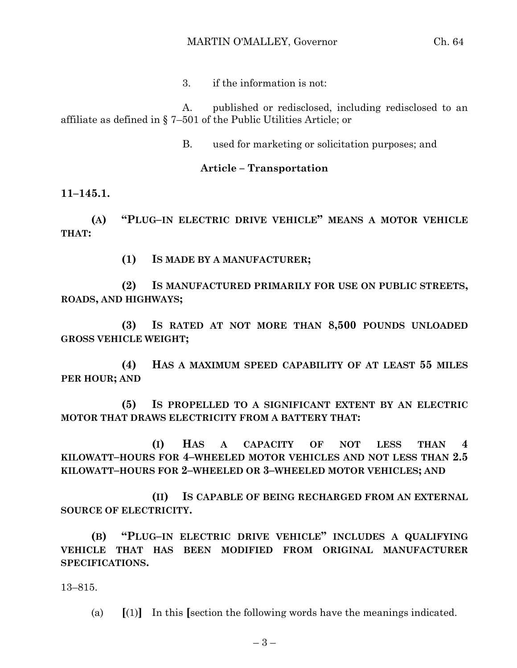3. if the information is not:

A. published or redisclosed, including redisclosed to an affiliate as defined in § 7–501 of the Public Utilities Article; or

B. used for marketing or solicitation purposes; and

## **Article – Transportation**

**11–145.1.**

**(A) "PLUG–IN ELECTRIC DRIVE VEHICLE" MEANS A MOTOR VEHICLE THAT:**

**(1) IS MADE BY A MANUFACTURER;**

**(2) IS MANUFACTURED PRIMARILY FOR USE ON PUBLIC STREETS, ROADS, AND HIGHWAYS;**

**(3) IS RATED AT NOT MORE THAN 8,500 POUNDS UNLOADED GROSS VEHICLE WEIGHT;**

**(4) HAS A MAXIMUM SPEED CAPABILITY OF AT LEAST 55 MILES PER HOUR; AND**

**(5) IS PROPELLED TO A SIGNIFICANT EXTENT BY AN ELECTRIC MOTOR THAT DRAWS ELECTRICITY FROM A BATTERY THAT:**

**(I) HAS A CAPACITY OF NOT LESS THAN 4 KILOWATT–HOURS FOR 4–WHEELED MOTOR VEHICLES AND NOT LESS THAN 2.5 KILOWATT–HOURS FOR 2–WHEELED OR 3–WHEELED MOTOR VEHICLES; AND**

**(II) IS CAPABLE OF BEING RECHARGED FROM AN EXTERNAL SOURCE OF ELECTRICITY.**

**(B) "PLUG–IN ELECTRIC DRIVE VEHICLE" INCLUDES A QUALIFYING VEHICLE THAT HAS BEEN MODIFIED FROM ORIGINAL MANUFACTURER SPECIFICATIONS.**

13–815.

(a) **[**(1)**]** In this **[**section the following words have the meanings indicated.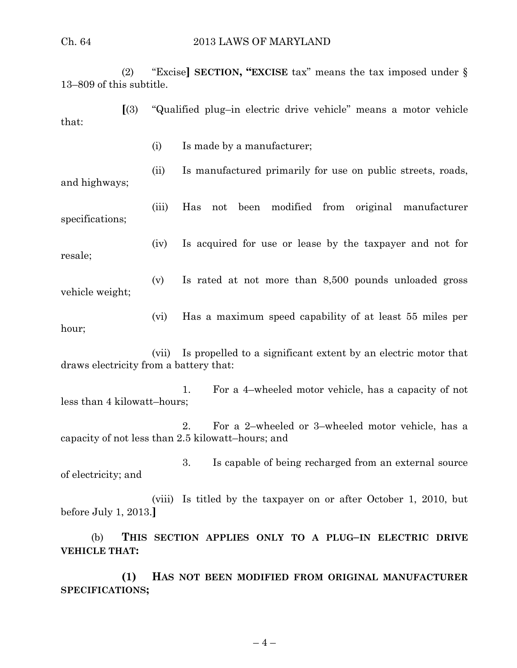(2) "Excise**] SECTION, "EXCISE** tax" means the tax imposed under § 13–809 of this subtitle.

**[**(3) "Qualified plug–in electric drive vehicle" means a motor vehicle that:

(i) Is made by a manufacturer;

(ii) Is manufactured primarily for use on public streets, roads,

and highways;

(iii) Has not been modified from original manufacturer specifications;

resale;

(iv) Is acquired for use or lease by the taxpayer and not for

(v) Is rated at not more than 8,500 pounds unloaded gross vehicle weight;

(vi) Has a maximum speed capability of at least 55 miles per hour;

(vii) Is propelled to a significant extent by an electric motor that draws electricity from a battery that:

1. For a 4–wheeled motor vehicle, has a capacity of not less than 4 kilowatt–hours;

2. For a 2–wheeled or 3–wheeled motor vehicle, has a capacity of not less than 2.5 kilowatt–hours; and

3. Is capable of being recharged from an external source of electricity; and

(viii) Is titled by the taxpayer on or after October 1, 2010, but before July 1, 2013.**]**

(b) **THIS SECTION APPLIES ONLY TO A PLUG–IN ELECTRIC DRIVE VEHICLE THAT:**

**(1) HAS NOT BEEN MODIFIED FROM ORIGINAL MANUFACTURER SPECIFICATIONS;**

 $-4-$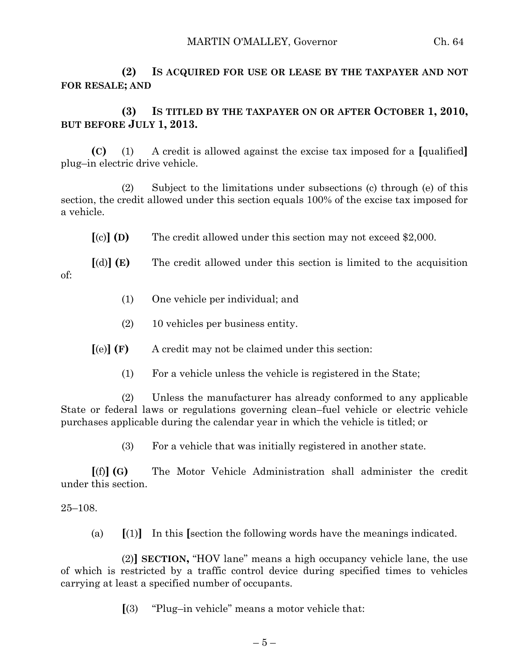**(2) IS ACQUIRED FOR USE OR LEASE BY THE TAXPAYER AND NOT FOR RESALE; AND**

# **(3) IS TITLED BY THE TAXPAYER ON OR AFTER OCTOBER 1, 2010, BUT BEFORE JULY 1, 2013.**

**(C)** (1) A credit is allowed against the excise tax imposed for a **[**qualified**]** plug–in electric drive vehicle.

(2) Subject to the limitations under subsections (c) through (e) of this section, the credit allowed under this section equals 100% of the excise tax imposed for a vehicle.

**[**(c)**] (D)** The credit allowed under this section may not exceed \$2,000.

**[**(d)**] (E)** The credit allowed under this section is limited to the acquisition of:

- (1) One vehicle per individual; and
- (2) 10 vehicles per business entity.

**[**(e)**] (F)** A credit may not be claimed under this section:

(1) For a vehicle unless the vehicle is registered in the State;

(2) Unless the manufacturer has already conformed to any applicable State or federal laws or regulations governing clean–fuel vehicle or electric vehicle purchases applicable during the calendar year in which the vehicle is titled; or

(3) For a vehicle that was initially registered in another state.

**[**(f)**] (G)** The Motor Vehicle Administration shall administer the credit under this section.

### 25–108.

(a) **[**(1)**]** In this **[**section the following words have the meanings indicated.

(2)**] SECTION,** "HOV lane" means a high occupancy vehicle lane, the use of which is restricted by a traffic control device during specified times to vehicles carrying at least a specified number of occupants.

**[**(3) "Plug–in vehicle" means a motor vehicle that: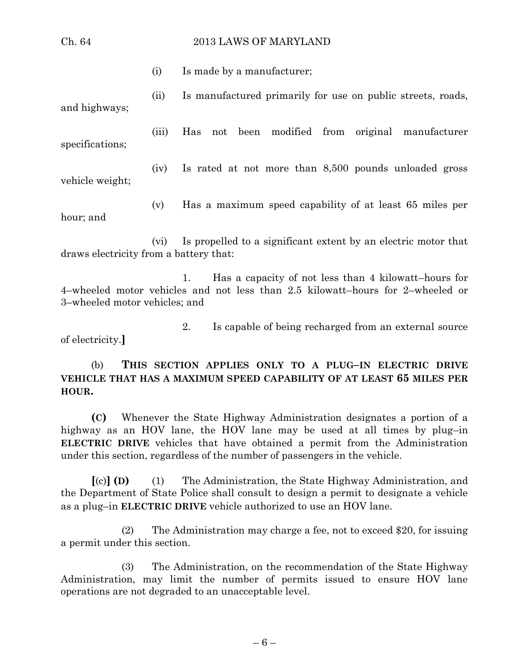### Ch. 64 2013 LAWS OF MARYLAND

(i) Is made by a manufacturer;

(ii) Is manufactured primarily for use on public streets, roads, and highways;

(iii) Has not been modified from original manufacturer

(iv) Is rated at not more than 8,500 pounds unloaded gross vehicle weight;

(v) Has a maximum speed capability of at least 65 miles per hour; and

(vi) Is propelled to a significant extent by an electric motor that draws electricity from a battery that:

1. Has a capacity of not less than 4 kilowatt–hours for 4–wheeled motor vehicles and not less than 2.5 kilowatt–hours for 2–wheeled or 3–wheeled motor vehicles; and

2. Is capable of being recharged from an external source of electricity.**]**

(b) **THIS SECTION APPLIES ONLY TO A PLUG–IN ELECTRIC DRIVE VEHICLE THAT HAS A MAXIMUM SPEED CAPABILITY OF AT LEAST 65 MILES PER HOUR.**

**(C)** Whenever the State Highway Administration designates a portion of a highway as an HOV lane, the HOV lane may be used at all times by plug–in **ELECTRIC DRIVE** vehicles that have obtained a permit from the Administration under this section, regardless of the number of passengers in the vehicle.

**[**(c)**] (D)** (1) The Administration, the State Highway Administration, and the Department of State Police shall consult to design a permit to designate a vehicle as a plug–in **ELECTRIC DRIVE** vehicle authorized to use an HOV lane.

(2) The Administration may charge a fee, not to exceed \$20, for issuing a permit under this section.

(3) The Administration, on the recommendation of the State Highway Administration, may limit the number of permits issued to ensure HOV lane operations are not degraded to an unacceptable level.

– 6 –

specifications;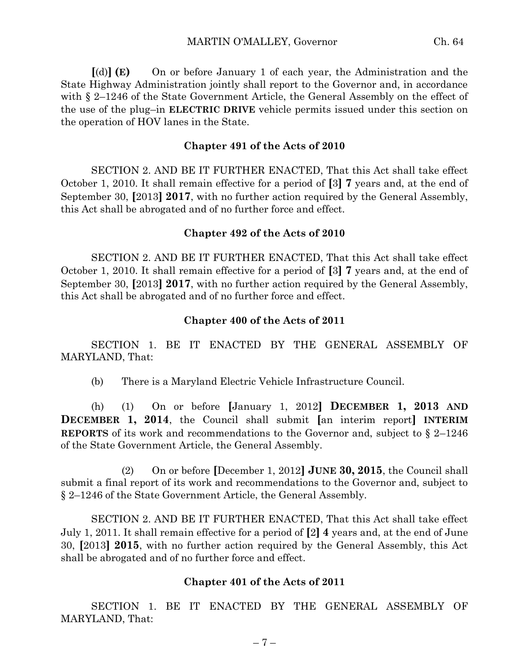**[**(d)**] (E)** On or before January 1 of each year, the Administration and the State Highway Administration jointly shall report to the Governor and, in accordance with § 2–1246 of the State Government Article, the General Assembly on the effect of the use of the plug–in **ELECTRIC DRIVE** vehicle permits issued under this section on the operation of HOV lanes in the State.

### **Chapter 491 of the Acts of 2010**

SECTION 2. AND BE IT FURTHER ENACTED, That this Act shall take effect October 1, 2010. It shall remain effective for a period of **[**3**] 7** years and, at the end of September 30, **[**2013**] 2017**, with no further action required by the General Assembly, this Act shall be abrogated and of no further force and effect.

### **Chapter 492 of the Acts of 2010**

SECTION 2. AND BE IT FURTHER ENACTED, That this Act shall take effect October 1, 2010. It shall remain effective for a period of **[**3**] 7** years and, at the end of September 30, **[**2013**] 2017**, with no further action required by the General Assembly, this Act shall be abrogated and of no further force and effect.

### **Chapter 400 of the Acts of 2011**

SECTION 1. BE IT ENACTED BY THE GENERAL ASSEMBLY OF MARYLAND, That:

(b) There is a Maryland Electric Vehicle Infrastructure Council.

(h) (1) On or before **[**January 1, 2012**] DECEMBER 1, 2013 AND DECEMBER 1, 2014**, the Council shall submit **[**an interim report**] INTERIM REPORTS** of its work and recommendations to the Governor and, subject to § 2–1246 of the State Government Article, the General Assembly.

(2) On or before **[**December 1, 2012**] JUNE 30, 2015**, the Council shall submit a final report of its work and recommendations to the Governor and, subject to § 2–1246 of the State Government Article, the General Assembly.

SECTION 2. AND BE IT FURTHER ENACTED, That this Act shall take effect July 1, 2011. It shall remain effective for a period of **[**2**] 4** years and, at the end of June 30, **[**2013**] 2015**, with no further action required by the General Assembly, this Act shall be abrogated and of no further force and effect.

### **Chapter 401 of the Acts of 2011**

SECTION 1. BE IT ENACTED BY THE GENERAL ASSEMBLY OF MARYLAND, That: